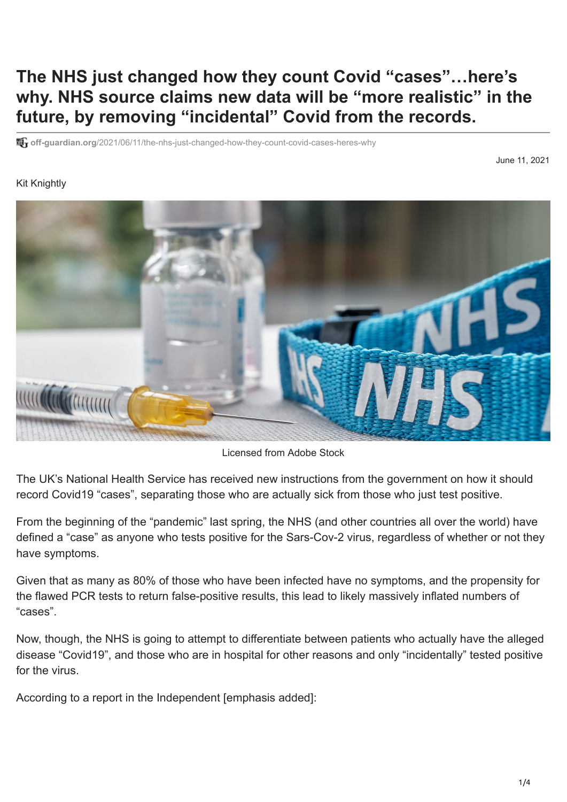## **The NHS just changed how they count Covid "cases"…here's why. NHS source claims new data will be "more realistic" in the future, by removing "incidental" Covid from the records.**

**off-guardian.org**[/2021/06/11/the-nhs-just-changed-how-they-count-covid-cases-heres-why](https://off-guardian.org/2021/06/11/the-nhs-just-changed-how-they-count-covid-cases-heres-why/?s=09)

## June 11, 2021

## Kit Knightly



Licensed from Adobe Stock

The UK's National Health Service has received new instructions from the government on how it should record Covid19 "cases", separating those who are actually sick from those who just test positive.

From the beginning of the "pandemic" last spring, the NHS (and other countries all over the world) have defined a "case" as anyone who tests positive for the Sars-Cov-2 virus, regardless of whether or not they have symptoms.

Given that as many as 80% of those who have been infected [have no symptoms](https://www.cebm.net/covid-19/covid-19-what-proportion-are-asymptomatic/), and the propensity for the [flawed PCR tests t](https://off-guardian.org/2020/06/27/covid19-pcr-tests-are-scientifically-meaningless/)o return [false-positive results](https://off-guardian.org/2021/03/27/making-something-out-of-nothing-pcr-tests-ct-values-and-false-positives/), this lead to likely massively inflated numbers of "cases".

Now, though, the NHS is going to attempt to differentiate between patients who actually have the alleged disease "Covid19", and those who are in hospital for other reasons and only "incidentally" tested positive for the virus.

According to a report in the Independent [emphasis added]: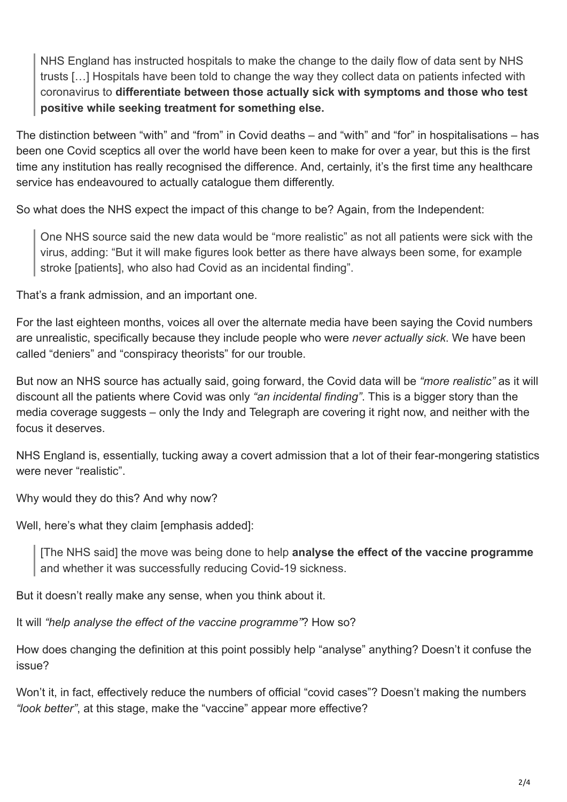NHS England has instructed hospitals to make the change to the daily flow of data sent by NHS trusts […] Hospitals have been told to change the way they collect data on patients infected with coronavirus to **differentiate between those actually sick with symptoms and those who test positive while seeking treatment for something else.**

The distinction between "with" and "from" in Covid deaths – and "with" and "for" in hospitalisations – has been one Covid sceptics all over the world have been keen to make for over a year, but this is the first time any institution has really recognised the difference. And, certainly, it's the first time any healthcare service has endeavoured to actually catalogue them differently.

So what does the NHS expect the impact of this change to be? Again, from the Independent:

One NHS source said the new data would be "more realistic" as not all patients were sick with the virus, adding: "But it will make figures look better as there have always been some, for example stroke [patients], who also had Covid as an incidental finding".

That's a frank admission, and an important one.

For the last eighteen months, voices all over the alternate media have been saying the Covid numbers are unrealistic, specifically because they include people who were *never actually sick*. We have been called "deniers" and "conspiracy theorists" for our trouble.

But now an NHS source has actually said, going forward, the Covid data will be *"more realistic"* as it will discount all the patients where Covid was only *"an incidental finding"*. This is a bigger story than the media coverage suggests – only the Indy and [Telegraph](https://www.telegraph.co.uk/news/2021/06/10/covid-data-change-will-give-better-picture-pressure-hospitals/) are covering it right now, and neither with the focus it deserves.

NHS England is, essentially, tucking away a covert admission that a lot of their fear-mongering statistics were never "realistic"

Why would they do this? And why now?

Well, here's what they claim [emphasis added]:

[The NHS said] the move was being done to help **analyse the effect of the vaccine programme** and whether it was successfully reducing Covid-19 sickness.

But it doesn't really make any sense, when you think about it.

It will *"help analyse the effect of the vaccine programme"*? How so?

How does changing the definition at this point possibly help "analyse" anything? Doesn't it confuse the issue?

Won't it, in fact, effectively reduce the numbers of official "covid cases"? Doesn't making the numbers *"look better"*, at this stage, make the "vaccine" appear more effective?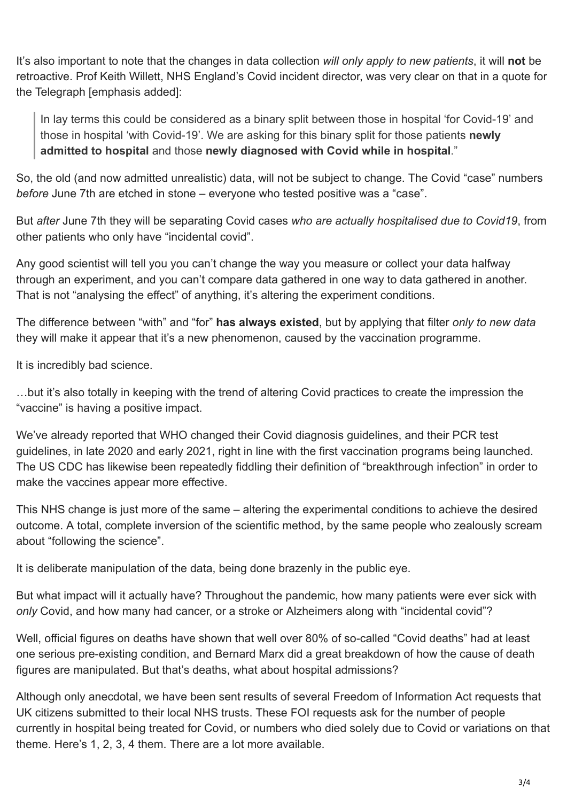It's also important to note that the changes in data collection *will only apply to new patients*, it will **not** be retroactive. Prof Keith Willett, NHS England's Covid incident director, was very clear on that in a quote for the Telegraph [emphasis added]:

In lay terms this could be considered as a binary split between those in hospital 'for Covid-19' and those in hospital 'with Covid-19'. We are asking for this binary split for those patients **newly admitted to hospital** and those **newly diagnosed with Covid while in hospital**."

So, the old (and now admitted unrealistic) data, will not be subject to change. The Covid "case" numbers *before* June 7th are etched in stone – everyone who tested positive was a "case".

But *after* June 7th they will be separating Covid cases *who are actually hospitalised due to Covid19*, from other patients who only have "incidental covid".

Any good scientist will tell you you can't change the way you measure or collect your data halfway through an experiment, and you can't compare data gathered in one way to data gathered in another. That is not "analysing the effect" of anything, it's altering the experiment conditions.

The difference between "with" and "for" **has always existed**, but by applying that filter *only to new data* they will make it appear that it's a new phenomenon, caused by the vaccination programme.

It is incredibly bad science.

…but it's also totally in keeping with the trend of altering Covid practices to create the impression the "vaccine" is having a positive impact.

[We've already reported that WHO changed their](https://off-guardian.org/2020/12/18/who-finally-admits-pcr-tests-create-false-positives/) [Covid diagnosis guidelines](https://off-guardian.org/2021/01/25/who-finally-admits-pcr-is-not-a-diagnostic-test/)[, and their PCR test](https://off-guardian.org/2020/12/18/who-finally-admits-pcr-tests-create-false-positives/) guidelines, in late 2020 and early 2021, right in line with the first vaccination programs being launched. The US CDC has likewise been [repeatedly fiddling](https://off-guardian.org/2021/05/26/more-flagrant-data-manipulation-from-the-cdc/) their definition o[f "breakthrough infection"](https://off-guardian.org/2021/05/18/how-the-cdc-is-manipulating-data-to-prop-up-vaccine-effectiveness/) in order to make the vaccines appear more effective.

This NHS change is just more of the same – altering the experimental conditions to achieve the desired outcome. A total, complete inversion of the scientific method, by the same people who zealously scream about "following the science".

It is deliberate manipulation of the data, being done brazenly in the public eye.

But what impact will it actually have? Throughout the pandemic, how many patients were ever sick with *only* Covid, and how many had cancer, or a stroke or Alzheimers along with "incidental covid"?

[Well, official figures on deaths have shown that well over 80% of so-called "Covid deaths" had at least](https://off-guardian.org/2020/03/23/italy-only-12-of-covid19-deaths-list-covid19-as-cause/) [one serious pre-existing condition, and Bernard Marx did a great breakdown of how the cause of death](https://off-guardian.org/2021/06/02/counting-covids-deceptive-deaths/) figures are manipulated. But that's deaths, what about hospital admissions?

Although only anecdotal, we have been sent results of several Freedom of Information Act requests that UK citizens submitted to their local NHS trusts. These FOI requests ask for the number of people currently in hospital being treated for Covid, or numbers who died solely due to Covid or variations on that theme. Here's [1](https://twitter.com/natty_red/status/1384048208267993088), [2,](https://twitter.com/SooziScoones/status/1361277342421770243) [3](https://twitter.com/dawn47914351/status/1395078813659369475), [4](https://twitter.com/N3TW0RK23/status/1381153584549609473) them. There are a lot more available.